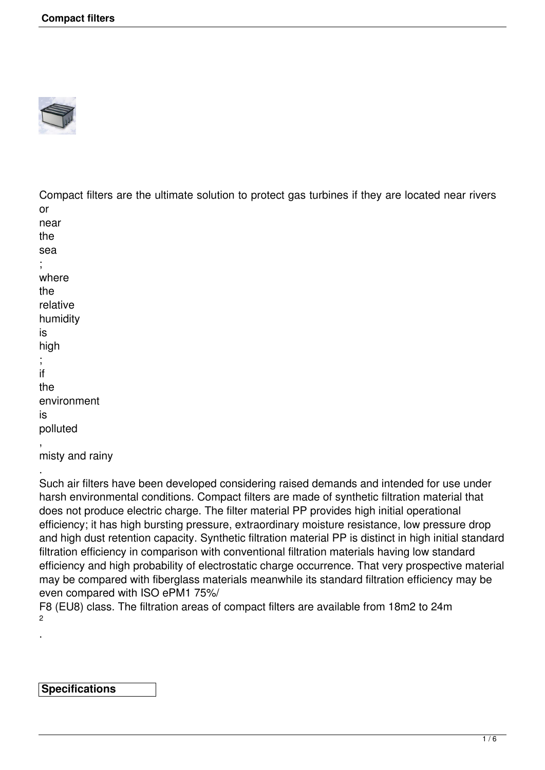

Compact filters are the ultimate solution to protect gas turbines if they are located near rivers or

```
near 
the
sea
; 
where
the 
relative
humidity
is
high
; 
if
the
environment
is
polluted
, 
misty and rainy
```
.

.

Such air filters have been developed considering raised demands and intended for use under harsh environmental conditions. Compact filters are made of synthetic filtration material that does not produce electric charge. The filter material PP provides high initial operational efficiency; it has high bursting pressure, extraordinary moisture resistance, low pressure drop and high dust retention capacity. Synthetic filtration material PP is distinct in high initial standard filtration efficiency in comparison with conventional filtration materials having low standard efficiency and high probability of electrostatic charge occurrence. That very prospective material may be compared with fiberglass materials meanwhile its standard filtration efficiency may be even compared with ISO ePM1 75%/

F8 (EU8) class. The filtration areas of compact filters are available from 18m2 to 24m  $\mathfrak{p}$ 

**Specifications**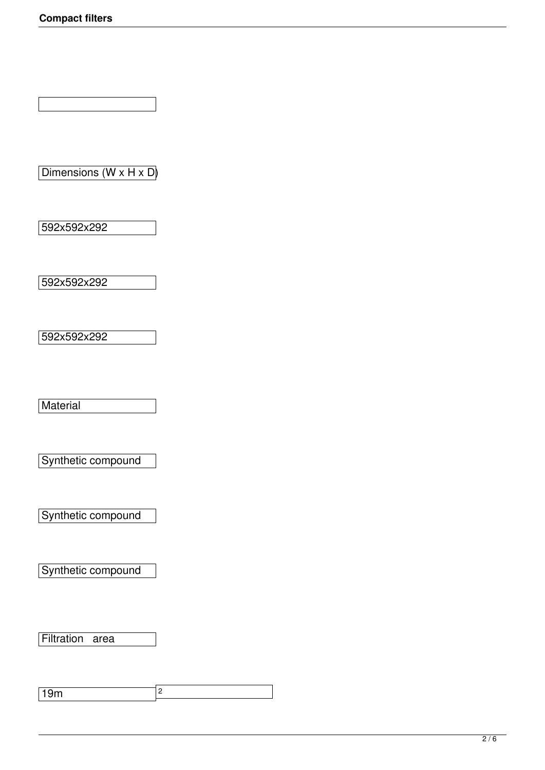Dimensions (W x H x D)

592x592x292

592x592x292

592x592x292

**Material** 

Synthetic compound

Synthetic compound

Synthetic compound

Filtration area

19m 2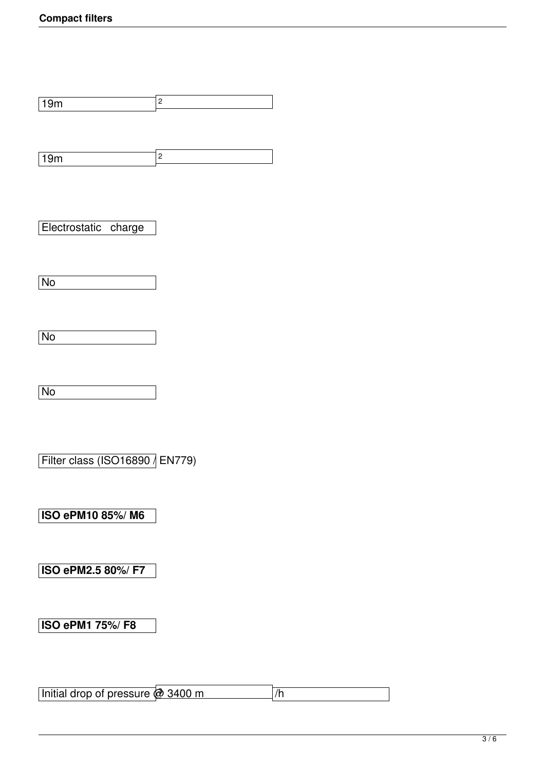19m 2

19m 2

Electrostatic charge

No

No

No

Filter class (ISO16890 / EN779)

**ISO ePM10 85%/ M6**

**ISO ePM2.5 80%/ F7**

**ISO ePM1 75%/ F8**

Initial drop of pressure @ 3400 m  $\sqrt{h}$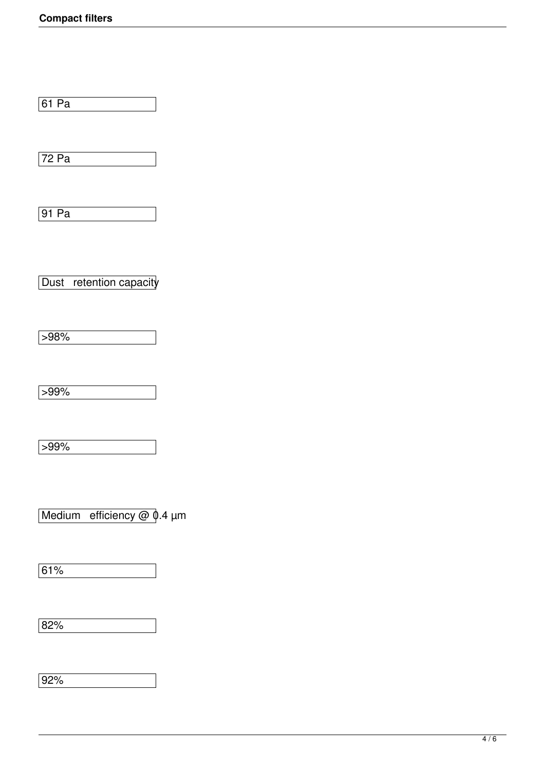61 Pa

72 Pa

91 Pa

Dust retention capacity

 $\sqrt{598\%}$ 

 $\sqrt{599\%}$ 

 $599%$ 

Medium efficiency  $@$   $@$ .4  $µm$ 

61%

82%

92%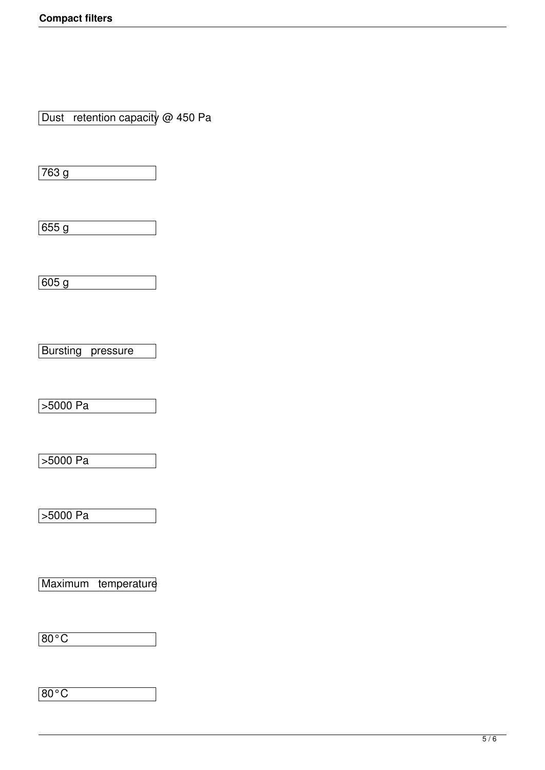Dust retention capacity @ 450 Pa

763 g

655 g

605 g

**Bursting** pressure

>5000 Pa

>5000 Pa

 $5000 Pa$ 

Maximum temperature

80°C

80°C